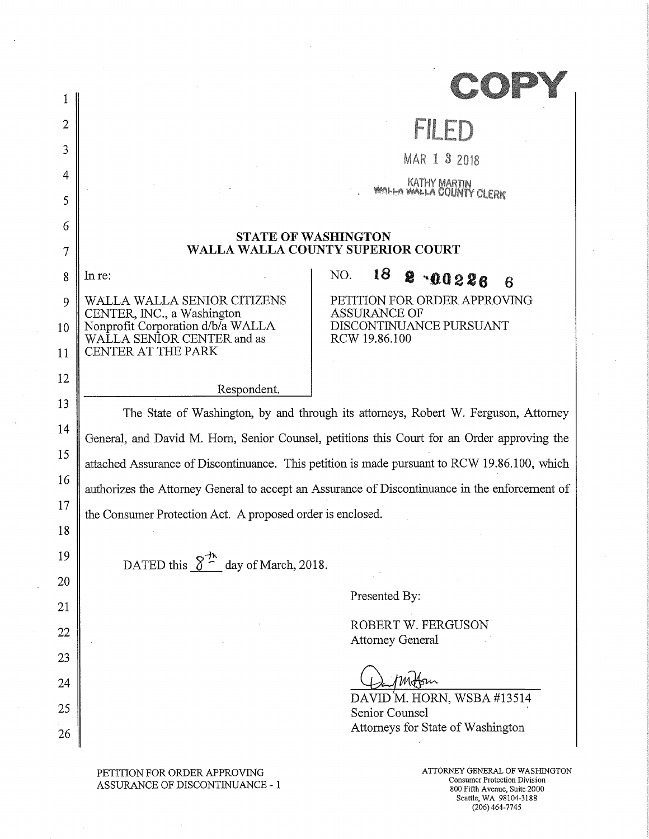| $\overline{2}$ |                                                                                                | FILE                                                                                                  |  |
|----------------|------------------------------------------------------------------------------------------------|-------------------------------------------------------------------------------------------------------|--|
| 3              |                                                                                                | MAR 1 3 2018                                                                                          |  |
| 4              |                                                                                                | KATHY MARTIN<br>WALLA COUNTY CLERK                                                                    |  |
| 5              |                                                                                                |                                                                                                       |  |
| 6              |                                                                                                |                                                                                                       |  |
| 7              | <b>STATE OF WASHINGTON</b><br>WALLA WALLA COUNTY SUPERIOR COURT                                |                                                                                                       |  |
| 8              | In re:                                                                                         | 18<br>NO.<br>8<br>00286<br>6                                                                          |  |
| 9              | WALLA WALLA SENIOR CITIZENS                                                                    | PETITION FOR ORDER APPROVING                                                                          |  |
| 10             | CENTER, INC., a Washington                                                                     | ASSURANCE OF<br>DISCONTINUANCE PURSUANT                                                               |  |
| 11             | Nonprofit Corporation d/b/a WALLA<br>WALLA SENIOR CENTER and as<br>CENTER AT THE PARK          | RCW 19.86.100                                                                                         |  |
| 12             |                                                                                                |                                                                                                       |  |
| 13             | Respondent.                                                                                    |                                                                                                       |  |
|                | The State of Washington, by and through its attorneys, Robert W. Ferguson, Attorney            |                                                                                                       |  |
| 14             | General, and David M. Horn, Senior Counsel, petitions this Court for an Order approving the    |                                                                                                       |  |
| 15             | attached Assurance of Discontinuance. This petition is made pursuant to RCW 19.86.100, which   |                                                                                                       |  |
| 16             | authorizes the Attorney General to accept an Assurance of Discontinuance in the enforcement of |                                                                                                       |  |
| 17             | the Consumer Protection Act. A proposed order is enclosed.                                     |                                                                                                       |  |
| 18             |                                                                                                |                                                                                                       |  |
| 19             | DATED this $\delta^{\frac{1}{2^n}}$ day of March, 2018.                                        |                                                                                                       |  |
| 20             |                                                                                                |                                                                                                       |  |
| 21             |                                                                                                | Presented By:                                                                                         |  |
| 22             |                                                                                                | ROBERT W. FERGUSON                                                                                    |  |
| 23             |                                                                                                | <b>Attorney General</b>                                                                               |  |
| 24             |                                                                                                |                                                                                                       |  |
| 25             |                                                                                                | DAVID'M. HORN, WSBA #13514                                                                            |  |
|                |                                                                                                | Senior Counsel<br>Attorneys for State of Washington                                                   |  |
| 26             |                                                                                                |                                                                                                       |  |
|                | PETITION FOR ORDER APPROVING<br>ASSURANCE OF DISCONTINUANCE - 1                                | ATTORNEY GENERAL OF WASHINGTON<br><b>Consumer Protection Division</b><br>800 Fifth Avenue, Suite 2000 |  |

 $\hat{\boldsymbol{\beta}}$ 

Seattle, WA 98104-3188 (206) 464-7745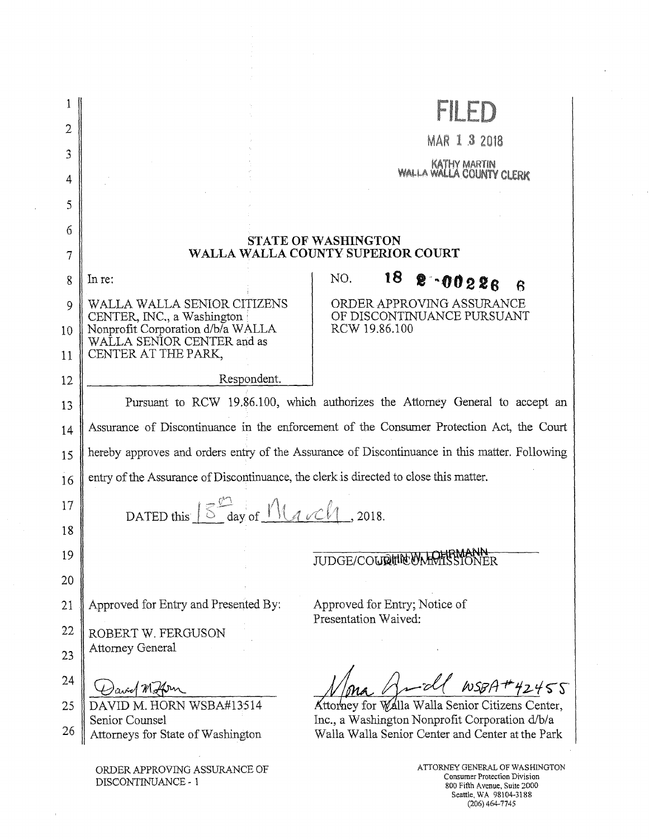|    |                                                                                               | <b>FILE</b>                                                                                                              |  |
|----|-----------------------------------------------------------------------------------------------|--------------------------------------------------------------------------------------------------------------------------|--|
| 2  |                                                                                               | MAR 1 3 2018                                                                                                             |  |
| 3  |                                                                                               |                                                                                                                          |  |
| 4  |                                                                                               | KATHY MARTIN<br>WALLA WALLA COUNTY CLERK                                                                                 |  |
| 5  |                                                                                               |                                                                                                                          |  |
| 6  |                                                                                               |                                                                                                                          |  |
| 7  |                                                                                               | <b>STATE OF WASHINGTON</b><br>WALLA WALLA COUNTY SUPERIOR COURT                                                          |  |
| 8  | In re:                                                                                        | 18<br>NO.<br>8.00226<br>$\mathsf R$                                                                                      |  |
| 9  | WALLA WALLA SENIOR CITIZENS<br>CENTER, INC., a Washington                                     | ORDER APPROVING ASSURANCE<br>OF DISCONTINUANCE PURSUANT                                                                  |  |
| 10 | Nonprofit Corporation d/b/a WALLA<br>WALLA SENIOR CENTER and as                               | RCW 19.86.100                                                                                                            |  |
| 11 | CENTER AT THE PARK,                                                                           |                                                                                                                          |  |
| 12 | Respondent.                                                                                   |                                                                                                                          |  |
| 13 | Pursuant to RCW 19.86.100, which authorizes the Attorney General to accept an                 |                                                                                                                          |  |
| 14 | Assurance of Discontinuance in the enforcement of the Consumer Protection Act, the Court      |                                                                                                                          |  |
| 15 | hereby approves and orders entry of the Assurance of Discontinuance in this matter. Following |                                                                                                                          |  |
| 16 | entry of the Assurance of Discontinuance, the clerk is directed to close this matter.         |                                                                                                                          |  |
| 17 | DATED this $\frac{1}{5}$ day of $M$ $\ell$ och, 2018.                                         |                                                                                                                          |  |
| 18 |                                                                                               |                                                                                                                          |  |
| 19 |                                                                                               | فالمقهومينه<br>JUDGE/COURTNEWMMTSSTONER                                                                                  |  |
| 20 |                                                                                               |                                                                                                                          |  |
| 21 | Approved for Entry and Presented By:                                                          | Approved for Entry; Notice of                                                                                            |  |
| 22 | ROBERT W. FERGUSON                                                                            | Presentation Waived:                                                                                                     |  |
| 23 | <b>Attorney General</b>                                                                       |                                                                                                                          |  |
| 24 |                                                                                               | $WSBA+42455$                                                                                                             |  |
| 25 | DAVID M. HORN WSBA#13514                                                                      | Attorney for Walla Walla Senior Citizens Center,                                                                         |  |
| 26 | Senior Counsel<br>Attorneys for State of Washington                                           | Inc., a Washington Nonprofit Corporation d/b/a<br>Walla Walla Senior Center and Center at the Park                       |  |
|    | ORDER APPROVING ASSURANCE OF<br>DISCONTINUANCE - 1                                            | ATTORNEY GENERAL OF WASHINGTON<br>Consumer Protection Division<br>800 Fifth Avenue, Suite 2000<br>Seattle, WA 98104-3188 |  |

 $\mathcal{L}_{\mathcal{A}}$ 

 $\rightarrow$ 

(206) 464-7745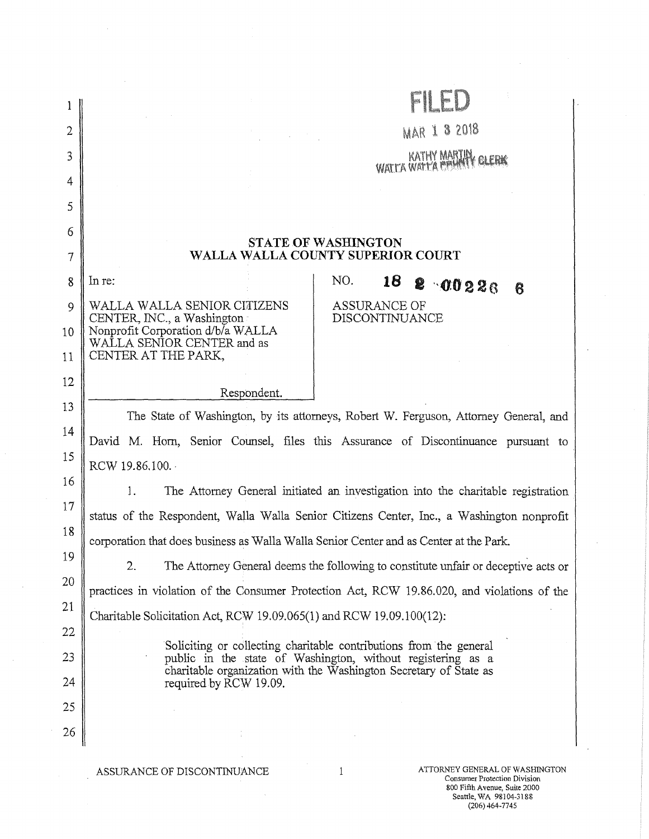| 2      |                                                                                                                                                                                      | <b>MAR 1 3 2018</b>                                                                                                               |  |  |
|--------|--------------------------------------------------------------------------------------------------------------------------------------------------------------------------------------|-----------------------------------------------------------------------------------------------------------------------------------|--|--|
| 3      |                                                                                                                                                                                      | KATHY MARTIN<br><b>GLERK</b>                                                                                                      |  |  |
| 4      |                                                                                                                                                                                      |                                                                                                                                   |  |  |
| 5      |                                                                                                                                                                                      |                                                                                                                                   |  |  |
| 6      |                                                                                                                                                                                      |                                                                                                                                   |  |  |
| $\tau$ | <b>STATE OF WASHINGTON</b><br>WALLA WALLA COUNTY SUPERIOR COURT                                                                                                                      |                                                                                                                                   |  |  |
| 8      | In re:                                                                                                                                                                               | NO.<br>18<br>8 00226<br>6                                                                                                         |  |  |
| 9      | WALLA WALLA SENIOR CITIZENS<br>CENTER, INC., a Washington                                                                                                                            | <b>ASSURANCE OF</b><br>DISCONTINUANCE                                                                                             |  |  |
| 10     | Nonprofit Corporation d/b/a WALLA<br>WALLA SENIOR CENTER and as                                                                                                                      |                                                                                                                                   |  |  |
| 11     | CENTER AT THE PARK,                                                                                                                                                                  |                                                                                                                                   |  |  |
| 12     | Respondent.                                                                                                                                                                          |                                                                                                                                   |  |  |
| 13     |                                                                                                                                                                                      | The State of Washington, by its attorneys, Robert W. Ferguson, Attorney General, and                                              |  |  |
| 14     | David M. Horn, Senior Counsel, files this Assurance of Discontinuance pursuant to                                                                                                    |                                                                                                                                   |  |  |
| 15     | RCW 19.86,100.                                                                                                                                                                       |                                                                                                                                   |  |  |
| 16     | 1.                                                                                                                                                                                   | The Attorney General initiated an investigation into the charitable registration                                                  |  |  |
| 17     |                                                                                                                                                                                      |                                                                                                                                   |  |  |
| 18     | status of the Respondent, Walla Walla Senior Citizens Center, Inc., a Washington nonprofit<br>corporation that does business as Walla Walla Senior Center and as Center at the Park. |                                                                                                                                   |  |  |
| 19     | 2.                                                                                                                                                                                   |                                                                                                                                   |  |  |
| 20     | The Attorney General deems the following to constitute unfair or deceptive acts or<br>practices in violation of the Consumer Protection Act, RCW 19.86.020, and violations of the    |                                                                                                                                   |  |  |
| 21     | Charitable Solicitation Act, RCW 19.09.065(1) and RCW 19.09.100(12):                                                                                                                 |                                                                                                                                   |  |  |
| 22     |                                                                                                                                                                                      |                                                                                                                                   |  |  |
| 23     |                                                                                                                                                                                      | Soliciting or collecting charitable contributions from the general<br>public in the state of Washington, without registering as a |  |  |
| 24     | required by RCW 19.09.                                                                                                                                                               | charitable organization with the Washington Secretary of State as                                                                 |  |  |
| 25     |                                                                                                                                                                                      |                                                                                                                                   |  |  |
| 26     |                                                                                                                                                                                      |                                                                                                                                   |  |  |
|        |                                                                                                                                                                                      |                                                                                                                                   |  |  |
|        | ASSURANCE OF DISCONTINUANCE                                                                                                                                                          | ATTORNEY GENERAL OF WASHINGTON<br>$\mathbf{1}$<br>Consumer Protection Division                                                    |  |  |

 $\bar{\psi}$ 

800 Fifth Avenue, Suite 2000<br>Seattle, WA 98104-3188<br>(206) 464-7745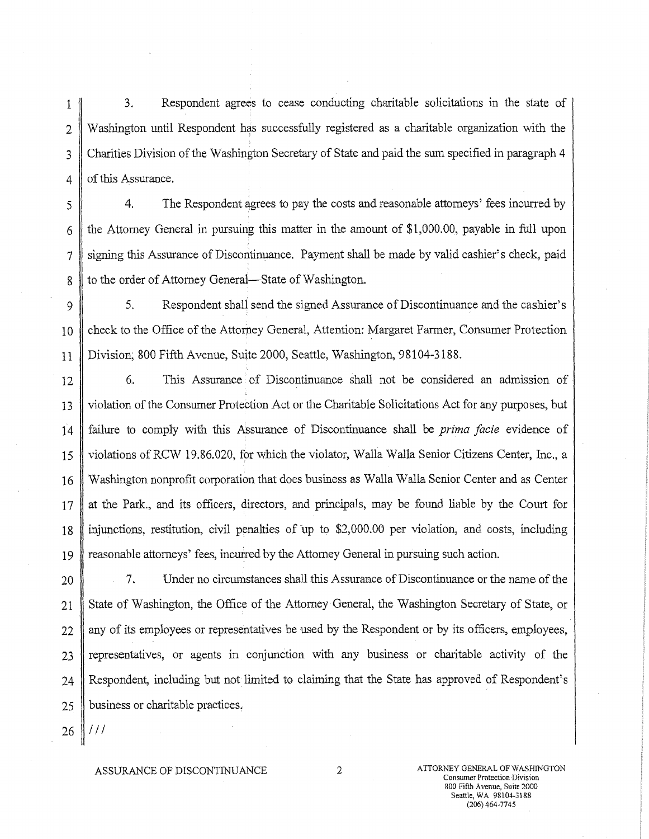1 3. Respondent agrees to cease conducting charitable solicitations in the state of 2 Washington until Respondent has successfully registered as a charitable organization with the 3 Charities Division of the Washington Secretary of State and paid the sum specified in paragraph 4 4 of this Assurance.

j 4. The Respondent agrees to pay the costs and reasonable attorneys' fees incurred by 6 the Attorney General in pursuing this matter in the amount of \$1,000.00, payable in full upon 7 siding this Assurance of Discontinuance. Payment shall be made by valid cashier's check, paid 8 to the order of Attorney General—State of Washington.

9 | 5. Respondent shall send the signed Assurance of Discontinuance and the cashier's

10 check to the Office of the Attorney General, Attention: Margaret Farmer, Consumer Protection 11 Division; 800 Fifth Avenue, Suite 2000, Seattle, Washington, 98104-3188.

12 6. This Assurance of Discontinuance shall not be considered an admission of 13 violation of the Consumer Protection Act or the Charitable Solicitations Act for any purposes, but 14 failure to comply with this Assurance of Discontinuance shall be *prima facie* evidence of 15 violations of RCW 19.86.020, for which the violator, Walla Walla Senior Citizens Center, Inc., a 16 Washington nonprofit corporation that does business as Walla Walla Senior Center and as Center  $17$  at the Park., and its officers, directors, and principals, may be found liable by the Court for 18 injunctions, restitution, civil penalties of up to \$2,000.00 per violation and costs, including 19 reasonable attorneys' fees, incurred by the Attorney General in pursuing such action,

20 7. Under no circumstances shall this Assurance of Discontinuance or the name of the 21 State of Washington, the Office of the Attorney General, the Washington Secretary of State, or 22 || any of its employees or representatives be used by the Respondent or by its officers, employees, 23 representatives, or agents in conjunction with any business or charitable activity of the 24 Respondent, including but not limited to claiming that the State has approved of Respondent's  $25$  | business or charitable practices.

*26 ill* 

ASSURANCE OF DISCONTINUANCE 2 ATTORNEY GENERAL OF WASHINGTON Consumer Protection Division 800 Fifth Avenue, Suite 2000 Seattle, WA 98104-3188 (206) 464-7745